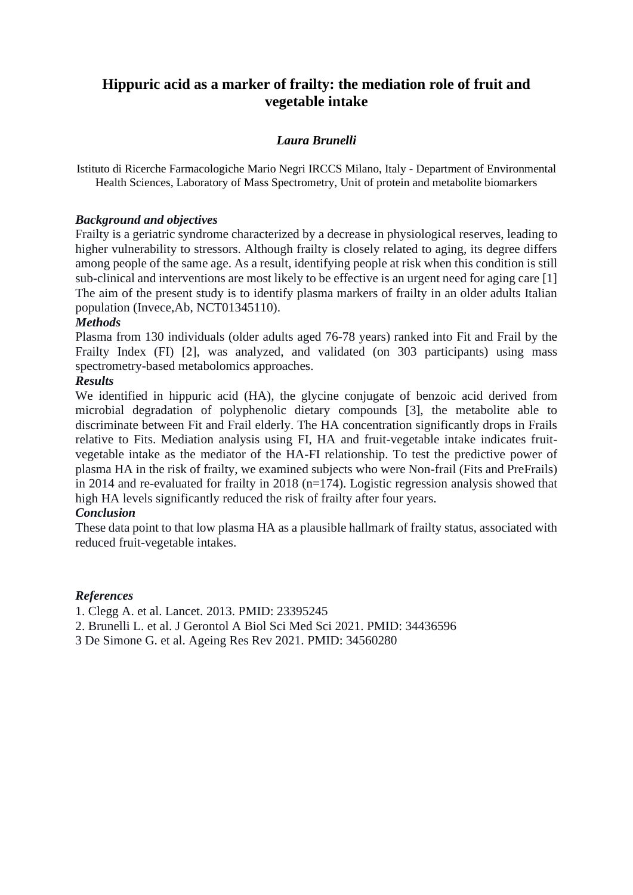# **Hippuric acid as a marker of frailty: the mediation role of fruit and vegetable intake**

### *Laura Brunelli*

Istituto di Ricerche Farmacologiche Mario Negri IRCCS Milano, Italy - Department of Environmental Health Sciences, Laboratory of Mass Spectrometry, Unit of protein and metabolite biomarkers

### *Background and objectives*

Frailty is a geriatric syndrome characterized by a decrease in physiological reserves, leading to higher vulnerability to stressors. Although frailty is closely related to aging, its degree differs among people of the same age. As a result, identifying people at risk when this condition is still sub-clinical and interventions are most likely to be effective is an urgent need for aging care [1] The aim of the present study is to identify plasma markers of frailty in an older adults Italian population (Invece,Ab, NCT01345110).

### *Methods*

Plasma from 130 individuals (older adults aged 76-78 years) ranked into Fit and Frail by the Frailty Index (FI) [2], was analyzed, and validated (on 303 participants) using mass spectrometry-based metabolomics approaches.

#### *Results*

We identified in hippuric acid (HA), the glycine conjugate of benzoic acid derived from microbial degradation of polyphenolic dietary compounds [3], the metabolite able to discriminate between Fit and Frail elderly. The HA concentration significantly drops in Frails relative to Fits. Mediation analysis using FI, HA and fruit-vegetable intake indicates fruitvegetable intake as the mediator of the HA-FI relationship. To test the predictive power of plasma HA in the risk of frailty, we examined subjects who were Non-frail (Fits and PreFrails) in 2014 and re-evaluated for frailty in 2018 (n=174). Logistic regression analysis showed that high HA levels significantly reduced the risk of frailty after four years.

### *Conclusion*

These data point to that low plasma HA as a plausible hallmark of frailty status, associated with reduced fruit-vegetable intakes.

#### *References*

1. Clegg A. et al. Lancet. 2013. PMID: 23395245

2. Brunelli L. et al. J Gerontol A Biol Sci Med Sci 2021. PMID: 34436596

3 De Simone G. et al. Ageing Res Rev 2021. PMID: 34560280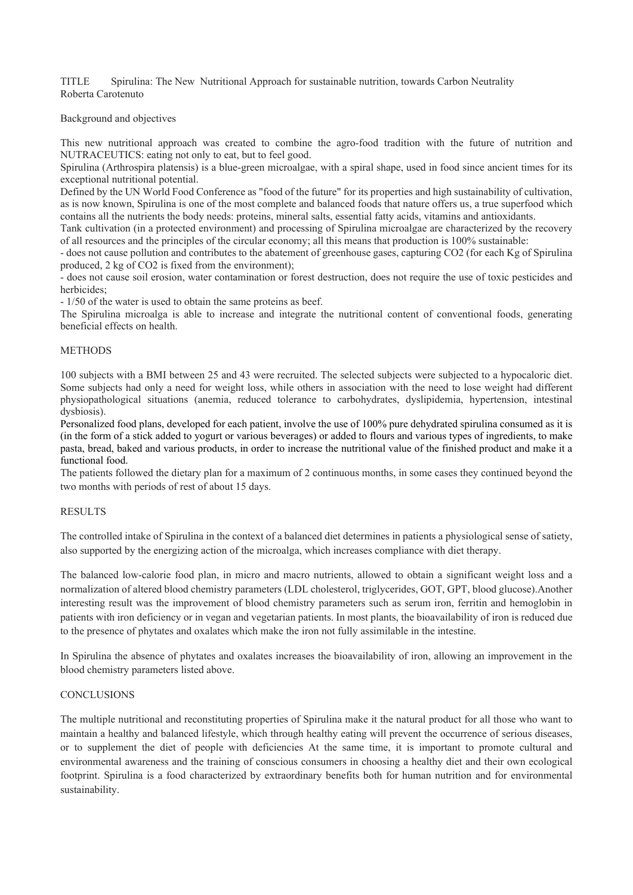TITLE Spirulina: The New Nutritional Approach for sustainable nutrition, towards Carbon Neutrality Roberta Carotenuto

Background and objectives

This new nutritional approach was created to combine the agro-food tradition with the future of nutrition and NUTRACEUTICS: eating not only to eat, but to feel good.

Spirulina (Arthrospira platensis) is a blue-green microalgae, with a spiral shape, used in food since ancient times for its exceptional nutritional potential.

Defined by the UN World Food Conference as "food of the future" for its properties and high sustainability of cultivation, as is now known, Spirulina is one of the most complete and balanced foods that nature offers us, a true superfood which contains all the nutrients the body needs: proteins, mineral salts, essential fatty acids, vitamins and antioxidants.

Tank cultivation (in a protected environment) and processing of Spirulina microalgae are characterized by the recovery of all resources and the principles of the circular economy; all this means that production is 100% sustainable:

- does not cause pollution and contributes to the abatement of greenhouse gases, capturing CO2 (for each Kg of Spirulina produced, 2 kg of CO2 is fixed from the environment);

- does not cause soil erosion, water contamination or forest destruction, does not require the use of toxic pesticides and herbicides;

- 1/50 of the water is used to obtain the same proteins as beef.

The Spirulina microalga is able to increase and integrate the nutritional content of conventional foods, generating beneficial effects on health.

#### **METHODS**

100 subjects with a BMI between 25 and 43 were recruited. The selected subjects were subjected to a hypocaloric diet. Some subjects had only a need for weight loss, while others in association with the need to lose weight had different physiopathological situations (anemia, reduced tolerance to carbohydrates, dyslipidemia, hypertension, intestinal dysbiosis).

Personalized food plans, developed for each patient, involve the use of 100% pure dehydrated spirulina consumed as it is (in the form of a stick added to yogurt or various beverages) or added to flours and various types of ingredients, to make pasta, bread, baked and various products, in order to increase the nutritional value of the finished product and make it a functional food.

The patients followed the dietary plan for a maximum of 2 continuous months, in some cases they continued beyond the two months with periods of rest of about 15 days.

#### **RESULTS**

The controlled intake of Spirulina in the context of a balanced diet determines in patients a physiological sense of satiety, also supported by the energizing action of the microalga, which increases compliance with diet therapy.

The balanced low-calorie food plan, in micro and macro nutrients, allowed to obtain a significant weight loss and a normalization of altered blood chemistry parameters (LDL cholesterol, triglycerides, GOT, GPT, blood glucose).Another interesting result was the improvement of blood chemistry parameters such as serum iron, ferritin and hemoglobin in patients with iron deficiency or in vegan and vegetarian patients. In most plants, the bioavailability of iron is reduced due to the presence of phytates and oxalates which make the iron not fully assimilable in the intestine.

In Spirulina the absence of phytates and oxalates increases the bioavailability of iron, allowing an improvement in the blood chemistry parameters listed above.

#### **CONCLUSIONS**

The multiple nutritional and reconstituting properties of Spirulina make it the natural product for all those who want to maintain a healthy and balanced lifestyle, which through healthy eating will prevent the occurrence of serious diseases, or to supplement the diet of people with deficiencies At the same time, it is important to promote cultural and environmental awareness and the training of conscious consumers in choosing a healthy diet and their own ecological footprint. Spirulina is a food characterized by extraordinary benefits both for human nutrition and for environmental sustainability.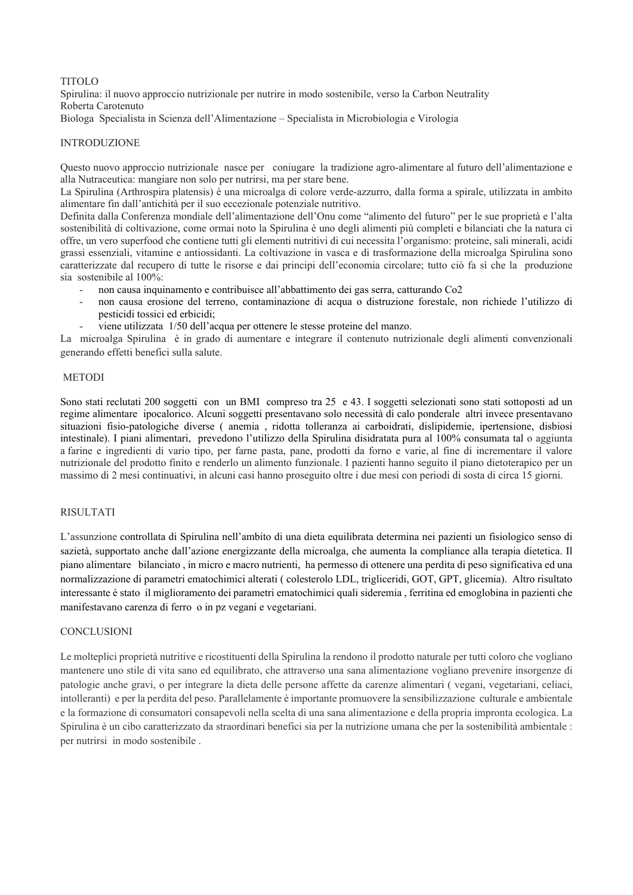#### TITOLO

Spirulina: il nuovo approccio nutrizionale per nutrire in modo sostenibile, verso la Carbon Neutrality Roberta Carotenuto

Biologa Specialista in Scienza dell'Alimentazione – Specialista in Microbiologia e Virologia

#### INTRODUZIONE

Questo nuovo approccio nutrizionale nasce per coniugare la tradizione agro-alimentare al futuro dell'alimentazione e alla Nutraceutica: mangiare non solo per nutrirsi, ma per stare bene.

La Spirulina (Arthrospira platensis) è una microalga di colore verde-azzurro, dalla forma a spirale, utilizzata in ambito alimentare fin dall'antichità per il suo eccezionale potenziale nutritivo.

Definita dalla Conferenza mondiale dell'alimentazione dell'Onu come "alimento del futuro" per le sue proprietà e l'alta sostenibilità di coltivazione, come ormai noto la Spirulina è uno degli alimenti più completi e bilanciati che la natura ci offre, un vero superfood che contiene tutti gli elementi nutritivi di cui necessita l'organismo: proteine, sali minerali, acidi grassi essenziali, vitamine e antiossidanti. La coltivazione in vasca e di trasformazione della microalga Spirulina sono caratterizzate dal recupero di tutte le risorse e dai principi dell'economia circolare; tutto ciò fa sì che la produzione sia sostenibile al 100%:

- non causa inquinamento e contribuisce all'abbattimento dei gas serra, catturando Co2
- non causa erosione del terreno, contaminazione di acqua o distruzione forestale, non richiede l'utilizzo di pesticidi tossici ed erbicidi;
- viene utilizzata 1/50 dell'acqua per ottenere le stesse proteine del manzo.

La microalga Spirulina è in grado di aumentare e integrare il contenuto nutrizionale degli alimenti convenzionali generando effetti benefici sulla salute.

#### METODI

Sono stati reclutati 200 soggetti con un BMI compreso tra 25 e 43. I soggetti selezionati sono stati sottoposti ad un regime alimentare ipocalorico. Alcuni soggetti presentavano solo necessità di calo ponderale altri invece presentavano situazioni fisio-patologiche diverse ( anemia , ridotta tolleranza ai carboidrati, dislipidemie, ipertensione, disbiosi intestinale). I piani alimentari, prevedono l'utilizzo della Spirulina disidratata pura al 100% consumata tal o aggiunta a farine e ingredienti di vario tipo, per farne pasta, pane, prodotti da forno e varie, al fine di incrementare il valore nutrizionale del prodotto finito e renderlo un alimento funzionale. I pazienti hanno seguito il piano dietoterapico per un massimo di 2 mesi continuativi, in alcuni casi hanno proseguito oltre i due mesi con periodi di sosta di circa 15 giorni.

#### RISULTATI

L'assunzione controllata di Spirulina nell'ambito di una dieta equilibrata determina nei pazienti un fisiologico senso di sazietà, supportato anche dall'azione energizzante della microalga, che aumenta la compliance alla terapia dietetica. Il piano alimentare bilanciato , in micro e macro nutrienti, ha permesso di ottenere una perdita di peso significativa ed una normalizzazione di parametri ematochimici alterati ( colesterolo LDL, trigliceridi, GOT, GPT, glicemia). Altro risultato interessante è stato il miglioramento dei parametri ematochimici quali sideremia , ferritina ed emoglobina in pazienti che manifestavano carenza di ferro o in pz vegani e vegetariani.

#### **CONCLUSIONI**

Le molteplici proprietà nutritive e ricostituenti della Spirulina la rendono il prodotto naturale per tutti coloro che vogliano mantenere uno stile di vita sano ed equilibrato, che attraverso una sana alimentazione vogliano prevenire insorgenze di patologie anche gravi, o per integrare la dieta delle persone affette da carenze alimentari ( vegani, vegetariani, celiaci, intolleranti) e per la perdita del peso. Parallelamente è importante promuovere la sensibilizzazione culturale e ambientale e la formazione di consumatori consapevoli nella scelta di una sana alimentazione e della propria impronta ecologica. La Spirulina è un cibo caratterizzato da straordinari benefici sia per la nutrizione umana che per la sostenibilità ambientale : per nutrirsi in modo sostenibile .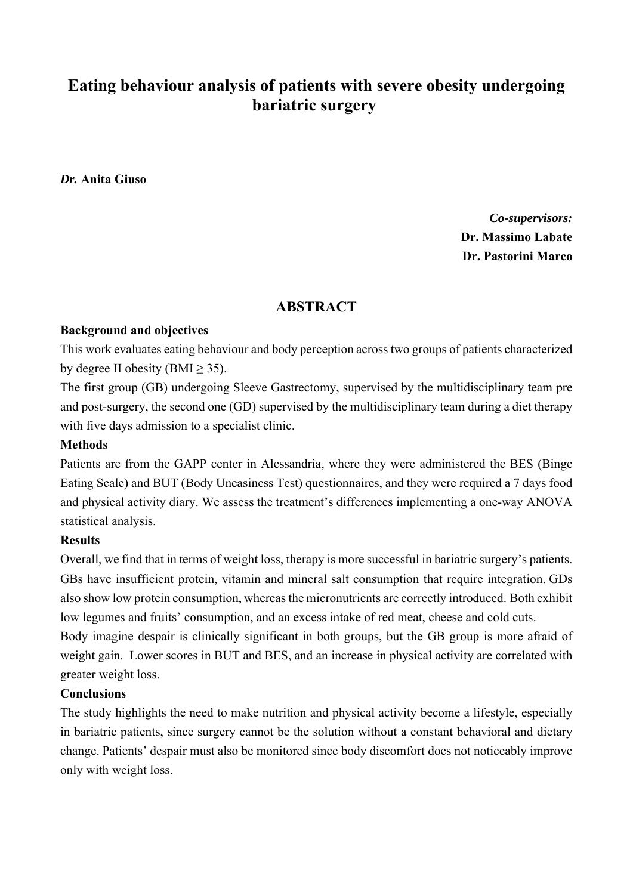# **Eating behaviour analysis of patients with severe obesity undergoing bariatric surgery**

*Dr.* **Anita Giuso**

*Co-supervisors:* **Dr. Massimo Labate Dr. Pastorini Marco**

### **ABSTRACT**

### **Background and objectives**

This work evaluates eating behaviour and body perception across two groups of patients characterized by degree II obesity  $(BMI > 35)$ .

The first group (GB) undergoing Sleeve Gastrectomy, supervised by the multidisciplinary team pre and post-surgery, the second one (GD) supervised by the multidisciplinary team during a diet therapy with five days admission to a specialist clinic.

### **Methods**

Patients are from the GAPP center in Alessandria, where they were administered the BES (Binge Eating Scale) and BUT (Body Uneasiness Test) questionnaires, and they were required a 7 days food and physical activity diary. We assess the treatment's differences implementing a one-way ANOVA statistical analysis.

### **Results**

Overall, we find that in terms of weight loss, therapy is more successful in bariatric surgery's patients. GBs have insufficient protein, vitamin and mineral salt consumption that require integration. GDs also show low protein consumption, whereas the micronutrients are correctly introduced. Both exhibit low legumes and fruits' consumption, and an excess intake of red meat, cheese and cold cuts.

Body imagine despair is clinically significant in both groups, but the GB group is more afraid of weight gain. Lower scores in BUT and BES, and an increase in physical activity are correlated with greater weight loss.

#### **Conclusions**

The study highlights the need to make nutrition and physical activity become a lifestyle, especially in bariatric patients, since surgery cannot be the solution without a constant behavioral and dietary change. Patients' despair must also be monitored since body discomfort does not noticeably improve only with weight loss.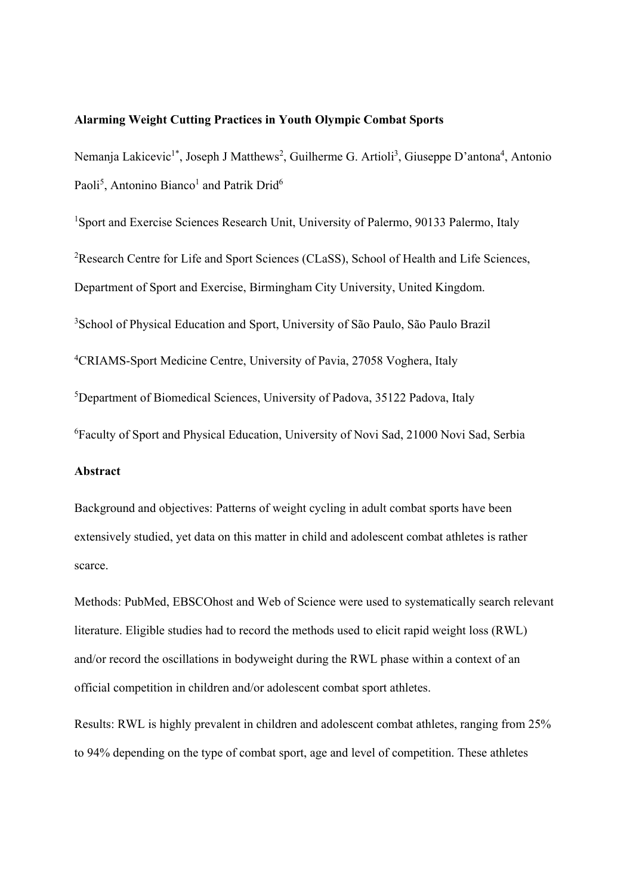#### **Alarming Weight Cutting Practices in Youth Olympic Combat Sports**

Nemanja Lakicevic<sup>1\*</sup>, Joseph J Matthews<sup>2</sup>, Guilherme G. Artioli<sup>3</sup>, Giuseppe D'antona<sup>4</sup>, Antonio Paoli<sup>5</sup>, Antonino Bianco<sup>1</sup> and Patrik Drid<sup>6</sup>

<sup>1</sup>Sport and Exercise Sciences Research Unit, University of Palermo, 90133 Palermo, Italy <sup>2</sup>Research Centre for Life and Sport Sciences (CLaSS), School of Health and Life Sciences, Department of Sport and Exercise, Birmingham City University, United Kingdom. 3 School of Physical Education and Sport, University of São Paulo, São Paulo Brazil <sup>4</sup>CRIAMS-Sport Medicine Centre, University of Pavia, 27058 Voghera, Italy 5 Department of Biomedical Sciences, University of Padova, 35122 Padova, Italy 6 Faculty of Sport and Physical Education, University of Novi Sad, 21000 Novi Sad, Serbia

### **Abstract**

Background and objectives: Patterns of weight cycling in adult combat sports have been extensively studied, yet data on this matter in child and adolescent combat athletes is rather scarce.

Methods: PubMed, EBSCOhost and Web of Science were used to systematically search relevant literature. Eligible studies had to record the methods used to elicit rapid weight loss (RWL) and/or record the oscillations in bodyweight during the RWL phase within a context of an official competition in children and/or adolescent combat sport athletes.

Results: RWL is highly prevalent in children and adolescent combat athletes, ranging from 25% to 94% depending on the type of combat sport, age and level of competition. These athletes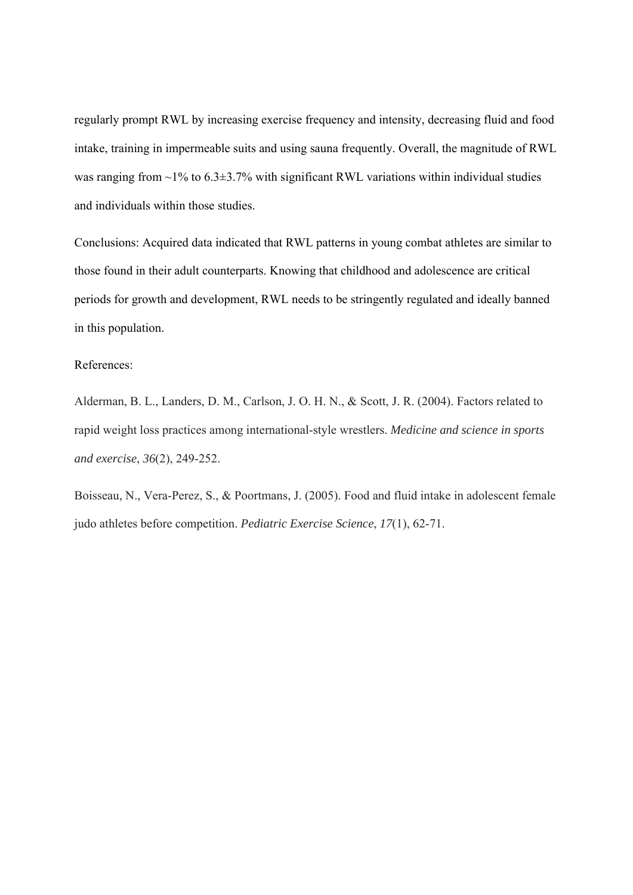regularly prompt RWL by increasing exercise frequency and intensity, decreasing fluid and food intake, training in impermeable suits and using sauna frequently. Overall, the magnitude of RWL was ranging from  $\sim$ 1% to 6.3 $\pm$ 3.7% with significant RWL variations within individual studies and individuals within those studies.

Conclusions: Acquired data indicated that RWL patterns in young combat athletes are similar to those found in their adult counterparts. Knowing that childhood and adolescence are critical periods for growth and development, RWL needs to be stringently regulated and ideally banned in this population.

#### References:

Alderman, B. L., Landers, D. M., Carlson, J. O. H. N., & Scott, J. R. (2004). Factors related to rapid weight loss practices among international-style wrestlers. *Medicine and science in sports and exercise*, *36*(2), 249-252.

Boisseau, N., Vera-Perez, S., & Poortmans, J. (2005). Food and fluid intake in adolescent female judo athletes before competition. *Pediatric Exercise Science*, *17*(1), 62-71.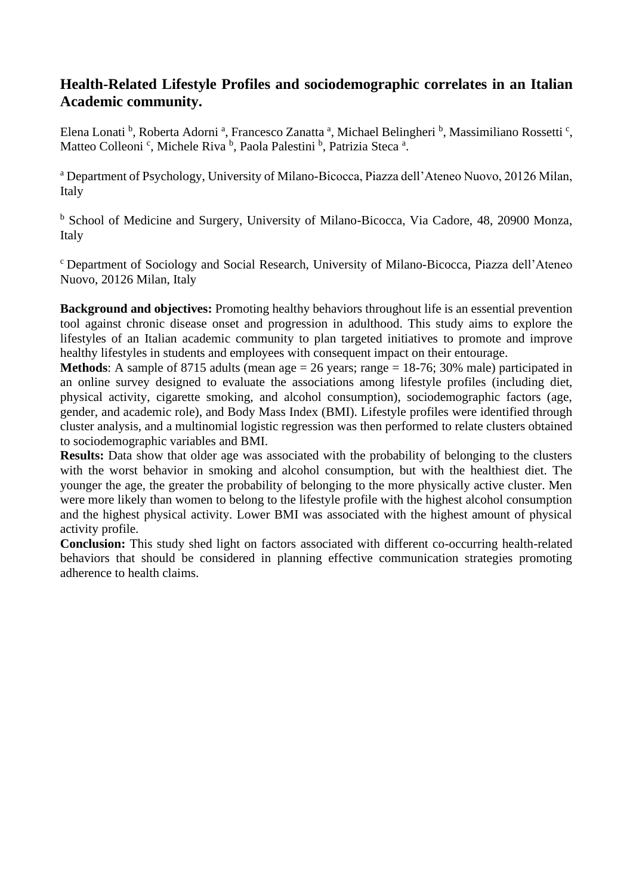# **Health-Related Lifestyle Profiles and sociodemographic correlates in an Italian Academic community.**

Elena Lonati<sup>b</sup>, Roberta Adorni<sup>a</sup>, Francesco Zanatta<sup>a</sup>, Michael Belingheri<sup>b</sup>, Massimiliano Rossetti<sup>c</sup>, Matteo Colleoni<sup>c</sup>, Michele Riva<sup>b</sup>, Paola Palestini<sup>b</sup>, Patrizia Steca<sup>a</sup>.

<sup>a</sup> Department of Psychology, University of Milano-Bicocca, Piazza dell'Ateneo Nuovo, 20126 Milan, Italy

<sup>b</sup> School of Medicine and Surgery, University of Milano-Bicocca, Via Cadore, 48, 20900 Monza, Italy

<sup>c</sup> Department of Sociology and Social Research, University of Milano-Bicocca, Piazza dell'Ateneo Nuovo, 20126 Milan, Italy

**Background and objectives:** Promoting healthy behaviors throughout life is an essential prevention tool against chronic disease onset and progression in adulthood. This study aims to explore the lifestyles of an Italian academic community to plan targeted initiatives to promote and improve healthy lifestyles in students and employees with consequent impact on their entourage.

**Methods**: A sample of 8715 adults (mean age = 26 years; range = 18-76; 30% male) participated in an online survey designed to evaluate the associations among lifestyle profiles (including diet, physical activity, cigarette smoking, and alcohol consumption), sociodemographic factors (age, gender, and academic role), and Body Mass Index (BMI). Lifestyle profiles were identified through cluster analysis, and a multinomial logistic regression was then performed to relate clusters obtained to sociodemographic variables and BMI.

**Results:** Data show that older age was associated with the probability of belonging to the clusters with the worst behavior in smoking and alcohol consumption, but with the healthiest diet. The younger the age, the greater the probability of belonging to the more physically active cluster. Men were more likely than women to belong to the lifestyle profile with the highest alcohol consumption and the highest physical activity. Lower BMI was associated with the highest amount of physical activity profile.

**Conclusion:** This study shed light on factors associated with different co-occurring health-related behaviors that should be considered in planning effective communication strategies promoting adherence to health claims.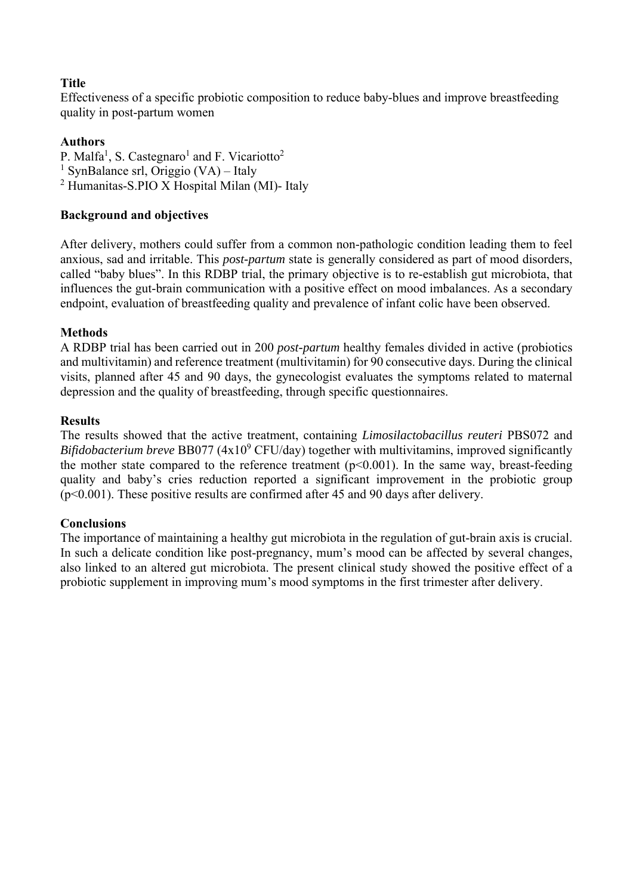### **Title**

Effectiveness of a specific probiotic composition to reduce baby-blues and improve breastfeeding quality in post-partum women

### **Authors**

P. Malfa<sup>1</sup>, S. Castegnaro<sup>1</sup> and F. Vicariotto<sup>2</sup> <sup>1</sup> SynBalance srl, Origgio (VA) – Italy 2 Humanitas-S.PIO X Hospital Milan (MI)- Italy

### **Background and objectives**

After delivery, mothers could suffer from a common non-pathologic condition leading them to feel anxious, sad and irritable. This *post-partum* state is generally considered as part of mood disorders, called "baby blues". In this RDBP trial, the primary objective is to re-establish gut microbiota, that influences the gut-brain communication with a positive effect on mood imbalances. As a secondary endpoint, evaluation of breastfeeding quality and prevalence of infant colic have been observed.

### **Methods**

A RDBP trial has been carried out in 200 *post-partum* healthy females divided in active (probiotics and multivitamin) and reference treatment (multivitamin) for 90 consecutive days. During the clinical visits, planned after 45 and 90 days, the gynecologist evaluates the symptoms related to maternal depression and the quality of breastfeeding, through specific questionnaires.

### **Results**

The results showed that the active treatment, containing *Limosilactobacillus reuteri* PBS072 and Bifidobacterium breve BB077 (4x10<sup>9</sup> CFU/day) together with multivitamins, improved significantly the mother state compared to the reference treatment  $(p<0.001)$ . In the same way, breast-feeding quality and baby's cries reduction reported a significant improvement in the probiotic group (p<0.001). These positive results are confirmed after 45 and 90 days after delivery.

### **Conclusions**

The importance of maintaining a healthy gut microbiota in the regulation of gut-brain axis is crucial. In such a delicate condition like post-pregnancy, mum's mood can be affected by several changes, also linked to an altered gut microbiota. The present clinical study showed the positive effect of a probiotic supplement in improving mum's mood symptoms in the first trimester after delivery.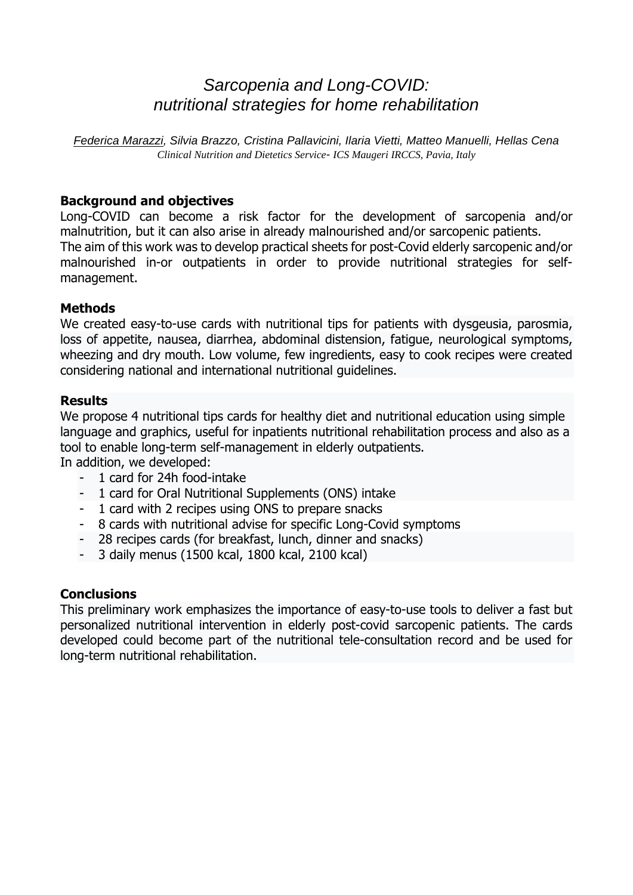# *Sarcopenia and Long-COVID: nutritional strategies for home rehabilitation*

*Federica Marazzi, Silvia Brazzo, Cristina Pallavicini, Ilaria Vietti, Matteo Manuelli, Hellas Cena Clinical Nutrition and Dietetics Service- ICS Maugeri IRCCS, Pavia, Italy* 

# **Background and objectives**

Long-COVID can become a risk factor for the development of sarcopenia and/or malnutrition, but it can also arise in already malnourished and/or sarcopenic patients. The aim of this work was to develop practical sheets for post-Covid elderly sarcopenic and/or malnourished in-or outpatients in order to provide nutritional strategies for selfmanagement.

# **Methods**

We created easy-to-use cards with nutritional tips for patients with dysgeusia, parosmia, loss of appetite, nausea, diarrhea, abdominal distension, fatigue, neurological symptoms, wheezing and dry mouth. Low volume, few ingredients, easy to cook recipes were created considering national and international nutritional guidelines.

### **Results**

We propose 4 nutritional tips cards for healthy diet and nutritional education using simple language and graphics, useful for inpatients nutritional rehabilitation process and also as a tool to enable long-term self-management in elderly outpatients.

In addition, we developed:

- 1 card for 24h food-intake
- 1 card for Oral Nutritional Supplements (ONS) intake
- 1 card with 2 recipes using ONS to prepare snacks
- 8 cards with nutritional advise for specific Long-Covid symptoms
- 28 recipes cards (for breakfast, lunch, dinner and snacks)
- 3 daily menus (1500 kcal, 1800 kcal, 2100 kcal)

# **Conclusions**

This preliminary work emphasizes the importance of easy-to-use tools to deliver a fast but personalized nutritional intervention in elderly post-covid sarcopenic patients. The cards developed could become part of the nutritional tele-consultation record and be used for long-term nutritional rehabilitation.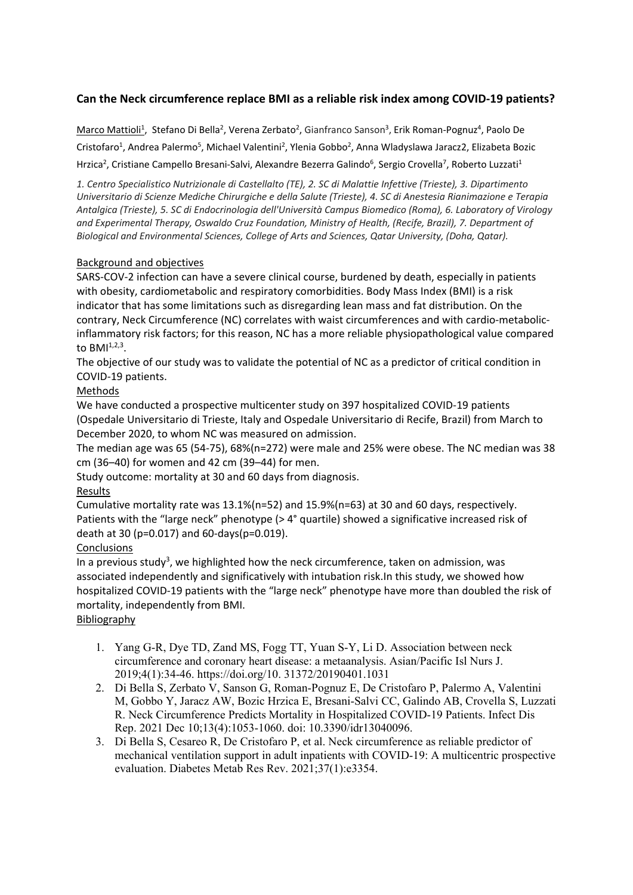### **Can the Neck circumference replace BMI as a reliable risk index among COVID‐19 patients?**

Marco Mattioli<sup>1</sup>, Stefano Di Bella<sup>2</sup>, Verena Zerbato<sup>2</sup>, Gianfranco Sanson<sup>3</sup>, Erik Roman-Pognuz<sup>4</sup>, Paolo De Cristofaro<sup>1</sup>, Andrea Palermo<sup>5</sup>, Michael Valentini<sup>2</sup>, Ylenia Gobbo<sup>2</sup>, Anna Wladyslawa Jaracz2, Elizabeta Bozic Hrzica<sup>2</sup>, Cristiane Campello Bresani-Salvi, Alexandre Bezerra Galindo<sup>6</sup>, Sergio Crovella<sup>7</sup>, Roberto Luzzati<sup>1</sup>

*1. Centro Specialistico Nutrizionale di Castellalto (TE), 2. SC di Malattie Infettive (Trieste), 3. Dipartimento Universitario di Scienze Mediche Chirurgiche e della Salute (Trieste), 4. SC di Anestesia Rianimazione e Terapia Antalgica (Trieste), 5. SC di Endocrinologia dell'Università Campus Biomedico (Roma), 6. Laboratory of Virology and Experimental Therapy, Oswaldo Cruz Foundation, Ministry of Health, (Recife, Brazil), 7. Department of Biological and Environmental Sciences, College of Arts and Sciences, Qatar University, (Doha, Qatar).*

#### Background and objectives

SARS‐COV‐2 infection can have a severe clinical course, burdened by death, especially in patients with obesity, cardiometabolic and respiratory comorbidities. Body Mass Index (BMI) is a risk indicator that has some limitations such as disregarding lean mass and fat distribution. On the contrary, Neck Circumference (NC) correlates with waist circumferences and with cardio-metabolicinflammatory risk factors; for this reason, NC has a more reliable physiopathological value compared to  $BMI^{1,2,3}$ .

The objective of our study was to validate the potential of NC as a predictor of critical condition in COVID‐19 patients.

#### Methods

We have conducted a prospective multicenter study on 397 hospitalized COVID‐19 patients (Ospedale Universitario di Trieste, Italy and Ospedale Universitario di Recife, Brazil) from March to December 2020, to whom NC was measured on admission.

The median age was 65 (54‐75), 68%(n=272) were male and 25% were obese. The NC median was 38 cm (36–40) for women and 42 cm (39–44) for men.

Study outcome: mortality at 30 and 60 days from diagnosis.

#### Results

Cumulative mortality rate was 13.1%(n=52) and 15.9%(n=63) at 30 and 60 days, respectively. Patients with the "large neck" phenotype (> 4° quartile) showed a significative increased risk of death at 30 (p=0.017) and 60‐days(p=0.019).

#### **Conclusions**

In a previous study<sup>3</sup>, we highlighted how the neck circumference, taken on admission, was associated independently and significatively with intubation risk.In this study, we showed how hospitalized COVID-19 patients with the "large neck" phenotype have more than doubled the risk of mortality, independently from BMI.

#### **Bibliography**

- 1. Yang G-R, Dye TD, Zand MS, Fogg TT, Yuan S-Y, Li D. Association between neck circumference and coronary heart disease: a metaanalysis. Asian/Pacific Isl Nurs J. 2019;4(1):34-46. https://doi.org/10. 31372/20190401.1031
- 2. Di Bella S, Zerbato V, Sanson G, Roman-Pognuz E, De Cristofaro P, Palermo A, Valentini M, Gobbo Y, Jaracz AW, Bozic Hrzica E, Bresani-Salvi CC, Galindo AB, Crovella S, Luzzati R. Neck Circumference Predicts Mortality in Hospitalized COVID-19 Patients. Infect Dis Rep. 2021 Dec 10;13(4):1053-1060. doi: 10.3390/idr13040096.
- 3. Di Bella S, Cesareo R, De Cristofaro P, et al. Neck circumference as reliable predictor of mechanical ventilation support in adult inpatients with COVID-19: A multicentric prospective evaluation. Diabetes Metab Res Rev. 2021;37(1):e3354.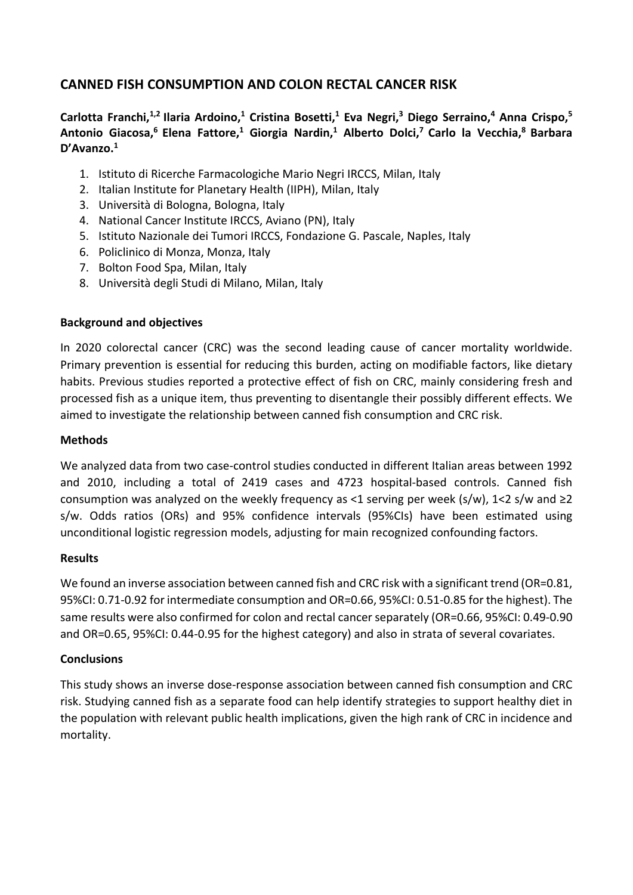# **CANNED FISH CONSUMPTION AND COLON RECTAL CANCER RISK**

# Carlotta Franchi,<sup>1,2</sup> Ilaria Ardoino,<sup>1</sup> Cristina Bosetti,<sup>1</sup> Eva Negri,<sup>3</sup> Diego Serraino,<sup>4</sup> Anna Crispo,<sup>5</sup> **Antonio Giacosa,6 Elena Fattore,1 Giorgia Nardin,1 Alberto Dolci,7 Carlo la Vecchia,8 Barbara D'Avanzo.1**

- 1. Istituto di Ricerche Farmacologiche Mario Negri IRCCS, Milan, Italy
- 2. Italian Institute for Planetary Health (IIPH), Milan, Italy
- 3. Università di Bologna, Bologna, Italy
- 4. National Cancer Institute IRCCS, Aviano (PN), Italy
- 5. Istituto Nazionale dei Tumori IRCCS, Fondazione G. Pascale, Naples, Italy
- 6. Policlinico di Monza, Monza, Italy
- 7. Bolton Food Spa, Milan, Italy
- 8. Università degli Studi di Milano, Milan, Italy

### **Background and objectives**

In 2020 colorectal cancer (CRC) was the second leading cause of cancer mortality worldwide. Primary prevention is essential for reducing this burden, acting on modifiable factors, like dietary habits. Previous studies reported a protective effect of fish on CRC, mainly considering fresh and processed fish as a unique item, thus preventing to disentangle their possibly different effects. We aimed to investigate the relationship between canned fish consumption and CRC risk.

### **Methods**

We analyzed data from two case‐control studies conducted in different Italian areas between 1992 and 2010, including a total of 2419 cases and 4723 hospital-based controls. Canned fish consumption was analyzed on the weekly frequency as <1 serving per week (s/w),  $1 < 2$  s/w and  $\ge 2$ s/w. Odds ratios (ORs) and 95% confidence intervals (95%CIs) have been estimated using unconditional logistic regression models, adjusting for main recognized confounding factors.

### **Results**

We found an inverse association between canned fish and CRC risk with a significant trend (OR=0.81, 95%CI: 0.71‐0.92 for intermediate consumption and OR=0.66, 95%CI: 0.51‐0.85 for the highest). The same results were also confirmed for colon and rectal cancer separately (OR=0.66, 95%CI: 0.49‐0.90 and OR=0.65, 95%CI: 0.44‐0.95 for the highest category) and also in strata of several covariates.

### **Conclusions**

This study shows an inverse dose‐response association between canned fish consumption and CRC risk. Studying canned fish as a separate food can help identify strategies to support healthy diet in the population with relevant public health implications, given the high rank of CRC in incidence and mortality.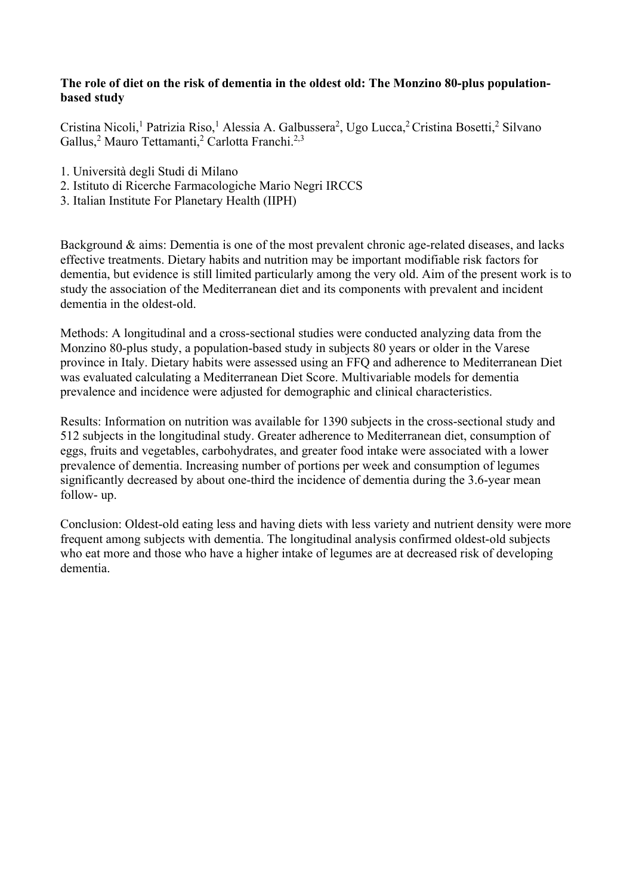### **The role of diet on the risk of dementia in the oldest old: The Monzino 80-plus populationbased study**

Cristina Nicoli,<sup>1</sup> Patrizia Riso,<sup>1</sup> Alessia A. Galbussera<sup>2</sup>, Ugo Lucca,<sup>2</sup> Cristina Bosetti,<sup>2</sup> Silvano Gallus,<sup>2</sup> Mauro Tettamanti,<sup>2</sup> Carlotta Franchi.<sup>2,3</sup>

- 1. Università degli Studi di Milano
- 2. Istituto di Ricerche Farmacologiche Mario Negri IRCCS
- 3. Italian Institute For Planetary Health (IIPH)

Background & aims: Dementia is one of the most prevalent chronic age-related diseases, and lacks effective treatments. Dietary habits and nutrition may be important modifiable risk factors for dementia, but evidence is still limited particularly among the very old. Aim of the present work is to study the association of the Mediterranean diet and its components with prevalent and incident dementia in the oldest-old.

Methods: A longitudinal and a cross-sectional studies were conducted analyzing data from the Monzino 80-plus study, a population-based study in subjects 80 years or older in the Varese province in Italy. Dietary habits were assessed using an FFQ and adherence to Mediterranean Diet was evaluated calculating a Mediterranean Diet Score. Multivariable models for dementia prevalence and incidence were adjusted for demographic and clinical characteristics.

Results: Information on nutrition was available for 1390 subjects in the cross-sectional study and 512 subjects in the longitudinal study. Greater adherence to Mediterranean diet, consumption of eggs, fruits and vegetables, carbohydrates, and greater food intake were associated with a lower prevalence of dementia. Increasing number of portions per week and consumption of legumes significantly decreased by about one-third the incidence of dementia during the 3.6-year mean follow- up.

Conclusion: Oldest-old eating less and having diets with less variety and nutrient density were more frequent among subjects with dementia. The longitudinal analysis confirmed oldest-old subjects who eat more and those who have a higher intake of legumes are at decreased risk of developing dementia.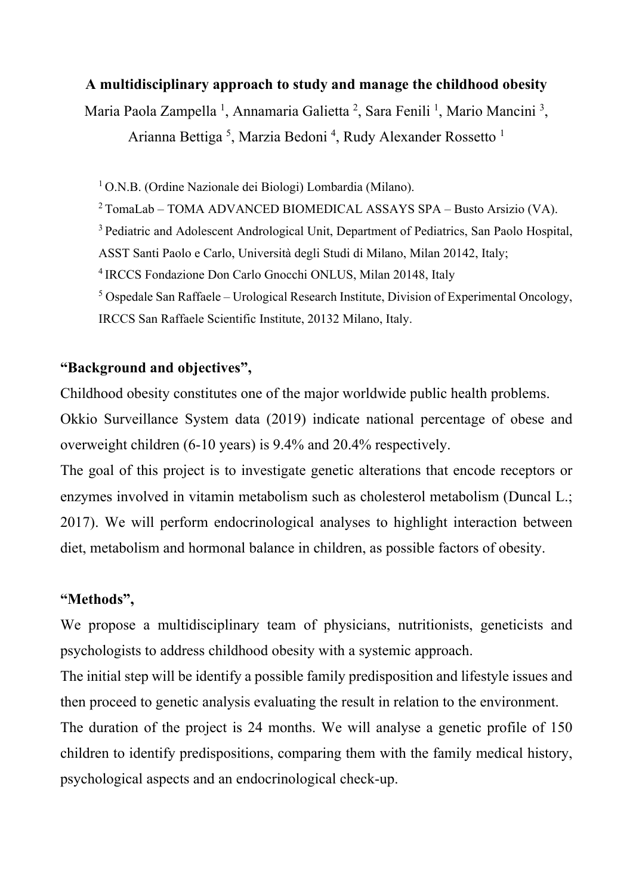# **A multidisciplinary approach to study and manage the childhood obesity**

Maria Paola Zampella<sup>1</sup>, Annamaria Galietta<sup>2</sup>, Sara Fenili<sup>1</sup>, Mario Mancini<sup>3</sup>, Arianna Bettiga<sup>5</sup>, Marzia Bedoni<sup>4</sup>, Rudy Alexander Rossetto<sup>1</sup>

<sup>1</sup> O.N.B. (Ordine Nazionale dei Biologi) Lombardia (Milano).

2 TomaLab – TOMA ADVANCED BIOMEDICAL ASSAYS SPA – Busto Arsizio (VA).

<sup>3</sup> Pediatric and Adolescent Andrological Unit, Department of Pediatrics, San Paolo Hospital,

ASST Santi Paolo e Carlo, Università degli Studi di Milano, Milan 20142, Italy;

4 IRCCS Fondazione Don Carlo Gnocchi ONLUS, Milan 20148, Italy

<sup>5</sup> Ospedale San Raffaele – Urological Research Institute, Division of Experimental Oncology, IRCCS San Raffaele Scientific Institute, 20132 Milano, Italy.

# **"Background and objectives",**

Childhood obesity constitutes one of the major worldwide public health problems.

Okkio Surveillance System data (2019) indicate national percentage of obese and overweight children (6-10 years) is 9.4% and 20.4% respectively.

The goal of this project is to investigate genetic alterations that encode receptors or enzymes involved in vitamin metabolism such as cholesterol metabolism (Duncal L.; 2017). We will perform endocrinological analyses to highlight interaction between diet, metabolism and hormonal balance in children, as possible factors of obesity.

# **"Methods",**

We propose a multidisciplinary team of physicians, nutritionists, geneticists and psychologists to address childhood obesity with a systemic approach.

The initial step will be identify a possible family predisposition and lifestyle issues and then proceed to genetic analysis evaluating the result in relation to the environment.

The duration of the project is 24 months. We will analyse a genetic profile of 150 children to identify predispositions, comparing them with the family medical history, psychological aspects and an endocrinological check-up.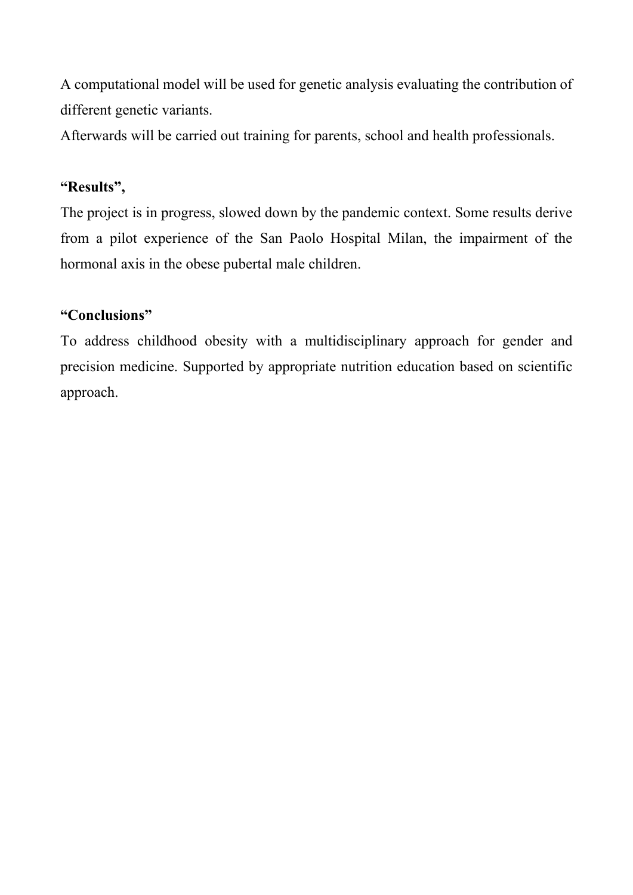A computational model will be used for genetic analysis evaluating the contribution of different genetic variants.

Afterwards will be carried out training for parents, school and health professionals.

# **"Results",**

The project is in progress, slowed down by the pandemic context. Some results derive from a pilot experience of the San Paolo Hospital Milan, the impairment of the hormonal axis in the obese pubertal male children.

# **"Conclusions"**

To address childhood obesity with a multidisciplinary approach for gender and precision medicine. Supported by appropriate nutrition education based on scientific approach.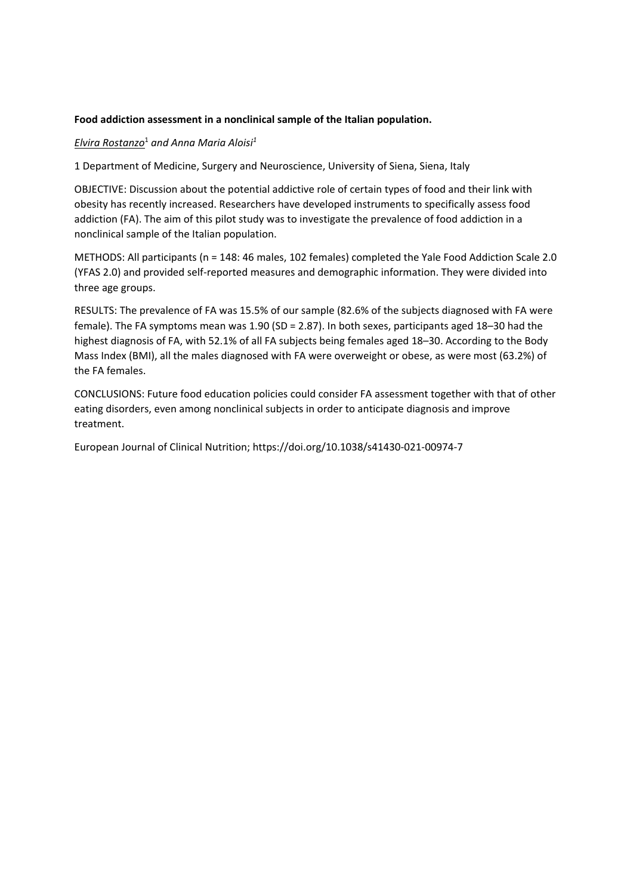#### **Food addiction assessment in a nonclinical sample of the Italian population.**

#### *Elvira Rostanzo*<sup>1</sup>  *and Anna Maria Aloisi1*

1 Department of Medicine, Surgery and Neuroscience, University of Siena, Siena, Italy

OBJECTIVE: Discussion about the potential addictive role of certain types of food and their link with obesity has recently increased. Researchers have developed instruments to specifically assess food addiction (FA). The aim of this pilot study was to investigate the prevalence of food addiction in a nonclinical sample of the Italian population.

METHODS: All participants (n = 148: 46 males, 102 females) completed the Yale Food Addiction Scale 2.0 (YFAS 2.0) and provided self‐reported measures and demographic information. They were divided into three age groups.

RESULTS: The prevalence of FA was 15.5% of our sample (82.6% of the subjects diagnosed with FA were female). The FA symptoms mean was 1.90 (SD = 2.87). In both sexes, participants aged 18–30 had the highest diagnosis of FA, with 52.1% of all FA subjects being females aged 18–30. According to the Body Mass Index (BMI), all the males diagnosed with FA were overweight or obese, as were most (63.2%) of the FA females.

CONCLUSIONS: Future food education policies could consider FA assessment together with that of other eating disorders, even among nonclinical subjects in order to anticipate diagnosis and improve treatment.

European Journal of Clinical Nutrition; https://doi.org/10.1038/s41430‐021‐00974‐7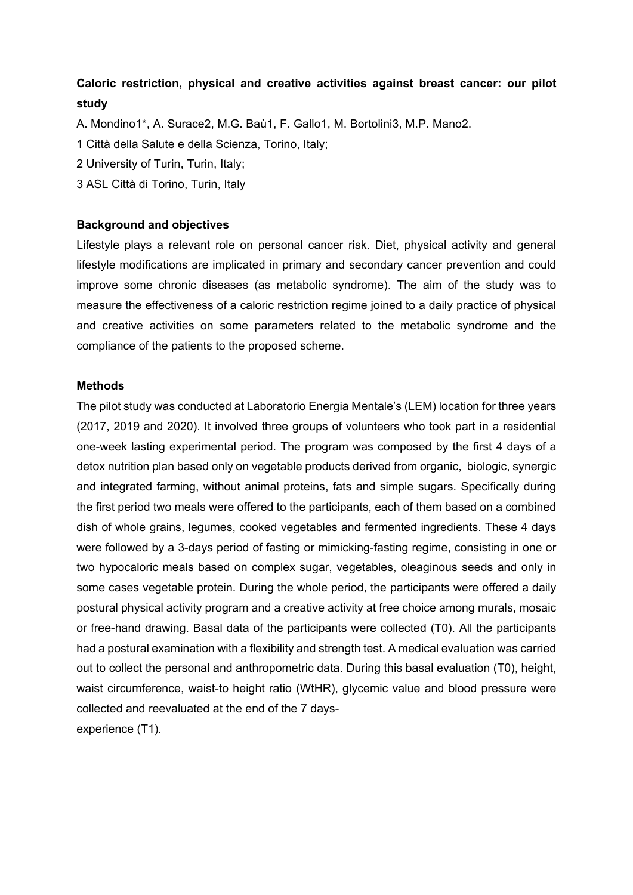# **Caloric restriction, physical and creative activities against breast cancer: our pilot study**

A. Mondino1\*, A. Surace2, M.G. Baù1, F. Gallo1, M. Bortolini3, M.P. Mano2.

1 Città della Salute e della Scienza, Torino, Italy;

- 2 University of Turin, Turin, Italy;
- 3 ASL Città di Torino, Turin, Italy

#### **Background and objectives**

Lifestyle plays a relevant role on personal cancer risk. Diet, physical activity and general lifestyle modifications are implicated in primary and secondary cancer prevention and could improve some chronic diseases (as metabolic syndrome). The aim of the study was to measure the effectiveness of a caloric restriction regime joined to a daily practice of physical and creative activities on some parameters related to the metabolic syndrome and the compliance of the patients to the proposed scheme.

#### **Methods**

The pilot study was conducted at Laboratorio Energia Mentale's (LEM) location for three years (2017, 2019 and 2020). It involved three groups of volunteers who took part in a residential one-week lasting experimental period. The program was composed by the first 4 days of a detox nutrition plan based only on vegetable products derived from organic, biologic, synergic and integrated farming, without animal proteins, fats and simple sugars. Specifically during the first period two meals were offered to the participants, each of them based on a combined dish of whole grains, legumes, cooked vegetables and fermented ingredients. These 4 days were followed by a 3-days period of fasting or mimicking-fasting regime, consisting in one or two hypocaloric meals based on complex sugar, vegetables, oleaginous seeds and only in some cases vegetable protein. During the whole period, the participants were offered a daily postural physical activity program and a creative activity at free choice among murals, mosaic or free-hand drawing. Basal data of the participants were collected (T0). All the participants had a postural examination with a flexibility and strength test. A medical evaluation was carried out to collect the personal and anthropometric data. During this basal evaluation (T0), height, waist circumference, waist-to height ratio (WtHR), glycemic value and blood pressure were collected and reevaluated at the end of the 7 daysexperience (T1).